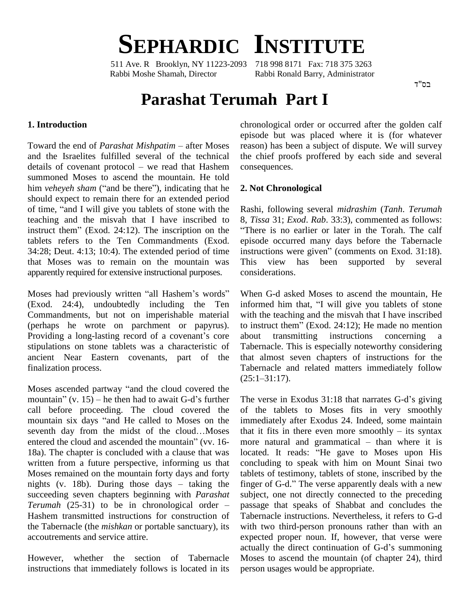

511 Ave. R Brooklyn, NY 11223-2093 718 998 8171 Fax: 718 375 3263 Rabbi Moshe Shamah, Director Rabbi Ronald Barry, Administrator

בס"ד

# **Parashat Terumah Part I**

## **1. Introduction**

Toward the end of *Parashat Mishpatim* – after Moses and the Israelites fulfilled several of the technical Toward the end of *Parashat Mishpatim* – after Moses reason) has<br>and the Israelites fulfilled several of the technical the chief p<br>details of covenant protocol – we read that Hashem consequence summoned Moses to ascend the mountain. He told details of covenant protocol – we read that Hashem consesummoned Moses to ascend the mountain. He told him *veheyeh sham* ("and be there"), indicating that he **2.** No should expect to remain there for an extended period him *veheyeh sham* ("and be there"), indicating that he 2. No should expect to remain there for an extended period of time, "and I will give you tablets of stone with the Rash teaching and the misvah that I have inscribed to 8, Tissa 31; Exod. Rab. 33:3), commented as follows: of time, "and I will give you tablets of stone with the teaching and the misvah that I have inscribed to instruct them" (Exod.  $24:12$ ). The inscription on the tablets refers to the Ten Commandments (Exod. 34:28; Deut. 4:13; 10:4). The extended period of time that Moses was to remain on the mountain was apparently required for extensive instructional purposes.

Moses had previously written "all Hashem's words" (Exod. 24:4), undoubtedly including the Ten Commandments, but not on imperishable material (perhaps he wrote on parchment or papyrus). Commandments, but not on imperishable material with<br>(perhaps he wrote on parchment or papyrus). to insertividing a long-lasting record of a covenant's core about stipulations on stone tablets was a characteristic of ancient Near Eastern covenants, part of the finalization process. finalization process. Tabe<br>Moses ascended partway "and the cloud covered the (25:1)

(25)<br>Moses ascended partway "and the cloud covered the<br>mountain" (v. 15) – he then had to await G-d's further The call before proceeding. The cloud covered the mountain"  $(v. 15)$  – he then had to await G-d's further The call before proceeding. The cloud covered the of the mountain six days "and He called to Moses on the immed call before proceeding. The cloud covered the of<br>mountain six days "and He called to Moses on the imm<br>seventh day from the midst of the cloud...Moses that mountain six days "and He called to Moses on the imm<br>seventh day from the midst of the cloud...Moses tha<br>entered the cloud and ascended the mountain" (vv. 16-18a). The chapter is concluded with a clause that was written from a future perspective, informing us that Moses remained on the mountain forty days and forty written from a future perspective, informing us that concl<br>Moses remained on the mountain forty days and forty table<br>nights (v. 18b). During those days – taking the finge succeeding seven chapters beginning with *Parashat* mights (v. 18b). During those days – taking the finger succeeding seven chapters beginning with *Parashat* subject *Terumah* (25-31) to be in chronological order – passage Hashem transmitted instructions for construction of the Tabernacle (the *mishkan* or portable sanctuary), its accoutrements and service attire.

However, whether the section of Tabernacle instructions that immediately follows is located in its chronological order or occurred after the golden calf episode but was placed where it is (for whatever reason) has been a subject of dispute. We will survey the chief proofs proffered by each side and several consequences.

## **2. Not Chronological**

Rashi, following several *midrashim* (*Tanh*. *Terumah* 8, *Tissa* 31;*Exod*. *Rab*. 33:3), commented as follows: <sup>ì</sup>There is no earlier or later in the Torah. The calf episode occurred many days before the Tabernacle instructions were given" (comments on Exod. 31:18). view has been supported by several considerations.

When G-d asked Moses to ascend the mountain, He informed him that, "I will give you tablets of stone with the teaching and the misvah that I have inscribed informed him that, "I will give you tablets of stone<br>with the teaching and the misvah that I have inscribed<br>to instruct them" (Exod. 24:12); He made no mention about transmitting instructions concerning Tabernacle. This is especially noteworthy considering that almost seven chapters of instructions for the Tabernacle and related matters immediately follow (25:1–31:17). Tabernacle and related matters immediately follow  $(25:1-31:17)$ .<br>The verse in Exodus 31:18 that narrates G-d's giving

of the tablets to Moses fits in very smoothly<br>immediately after Exodus 24. Indeed, some maintain<br>that it fits in there even more smoothly – its syntax immediately after Exodus 24. Indeed, some maintain<br>that it fits in there even more smoothly – its syntax<br>more natural and grammatical – than where it is that it fits in there even more smoothly  $-$  its syntax more natural and grammatical  $-$  than where it is located. It reads: "He gave to Moses upon His concluding to speak with him on Mount Sinai two<br>tablets of testimony, tablets of stone, inscribed by the<br>finger of G-d." The verse apparently deals with a new tablets of testimony, tablets of stone, inscribed by the subject, one not directly connected to the preceding passage that speaks of Shabbat and concludes the Tabernacle instructions. Nevertheless, it refers to G-d with two third-person pronouns rather than with an expected proper noun. If, however, that verse were actually the direct continuation of G-d's summoning expected proper noun. If, however, that verse were Moses to ascend the mountain (of chapter 24), third person usages would be appropriate.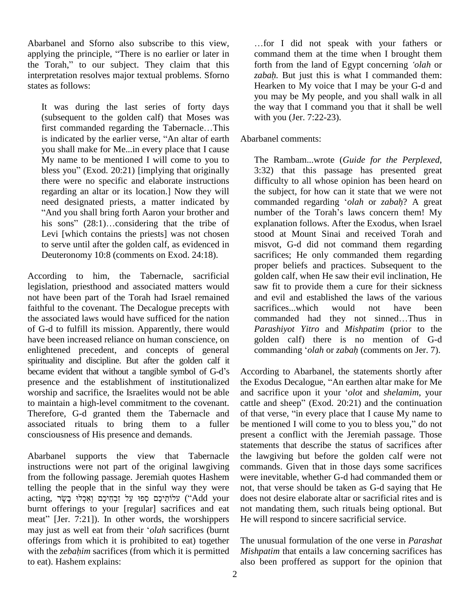Abarbanel and Sforno also subscribe to this view, applying the principle, "There is no earlier or later in the Torah," to our subject. They claim that this interpretation resolves major textual problems. Sforno zabah. But just this is what I commanded them: states as follows:

It was during the last series of forty days (subsequent to the golden calf) that Moses was It was during the last series of forty days<br>(subsequent to the golden calf) that Moses was<br>first commanded regarding the Tabernacle...This first commanded regarding the Tabernacle...This<br>is indicated by the earlier verse, "An altar of earth you shall make for Me...in every place that I cause My name to be mentioned I will come to you to bless you shall make for Me...in every place that I cause<br>My name to be mentioned I will come to you to<br>bless you" (Exod. 20:21) [implying that originally 3: there were no specific and elaborate instructions regarding an altar or its location.] Now they will need designated priests, a matter indicated by And you shall bring forth Aaron your brother and head designated priests, a matter indicated by<br>"And you shall bring forth Aaron your brother and<br>his sons" (28:1)...considering that the tribe of Levi [which contains the priests] was not chosen to serve until after the golden calf, as evidenced in Deuteronomy 10:8 (comments on Exod. 24:18).

According to him, the Tabernacle, sacrificial legislation, priesthood and associated matters would not have been part of the Torah had Israel remained faithful to the covenant. The Decalogue precepts with the associated laws would have sufficed for the nation commanded had they not sinned...Thus in of G-d to fulfill its mission. Apparently, there would have been increased reliance on human conscience, on enlightened precedent, and concepts of general spirituality and discipline. But after the golden calf it enlightened precedent, and concepts of general<br>spirituality and discipline. But after the golden calf it<br>became evident that without a tangible symbol of G-d's Acc presence and the establishment of institutionalized worship and sacrifice, the Israelites would not be able to maintain a high-level commitment to the covenant. Therefore, G-d granted them the Tabernacle and of that verse, "in every place that I cause My name to associated rituals to bring them to a fuller be mentioned I will come to you to bless you," do not consciousness of His presence and demands.

Abarbanel supports the view that Tabernacle instructions were not part of the original lawgiving from the following passage. Jeremiah quotes Hashem telling the people that in the sinful way they were from the following passage. Jeremiah quotes Hashem we<br>telling the people that in the sinful way they were not<br>acting, עלוֹתֵיכֶם סְפוּ עַל זִבְחֵיכֶם ('Add your doe burnt offerings to your [regular] sacrifices and eat acting, עלוֹתֵיכֶם סְפוּ עַל זִבְחֵיכֶם וְאִכְלוּ בָשָׂר ("Add your does<br>burnt offerings to your [regular] sacrifices and eat not<br>meat" [Jer. 7:21]). In other words, the worshippers He v meat" [Jer. 7:21]). In other words, the worshippers may just as well eat from their '*olah* sacrifices (burnt offerings from which it is prohibited to eat) together may just as well eat from their '*olah* sacrifices (burnt<br>offerings from which it is prohibited to eat) together The un<br>with the *zebahim* sacrifices (from which it is permitted *Mishp* to eat). Hashem explains:

...for I did not speak with your fathers or command them at the time when I brought them forth from the land of Egypt concerning *'olah* or command them at the time when I brought them forth from the land of Egypt concerning *'olah* or Hearken to My voice that I may be your G-d and you may be My people, and you shall walk in all the way that I command you that it shall be well with you (Jer. 7:22-23).

#### Abarbanel comments:

The Rambam...wrote (*Guide for the Perplexed*, 3:32) that this passage has presented great difficulty to all whose opinion has been heard on the subject, for how can it state that we were not commanded regarding <sup>ë</sup>*olah* or *zabah*? <sup>A</sup> great number of the Torah's laws concern them! My explanation follows. After the Exodus, when Israel stood at Mount Sinai and received Torah and misvot, G-d did not command them regarding sacrifices; He only commanded them regarding proper beliefs and practices. Subsequent to the sacrifices; He only commanded them regarding<br>proper beliefs and practices. Subsequent to the<br>golden calf, when He saw their evil inclination, He saw fit to provide them a cure for their sickness and evil and established the laws of the various<br>sacrifices...which would not have been<br>commanded had they not sinned...Thus in sacrifices...which would not have been *Parashiyot Yitro* and *Mishpatim* (prior to the golden calf) there is no mention of G-d commanding '*olah* or *zabah* (comments on Jer. 7). golden calf) there is no mention of G-d

According to Abarbanel, the statements shortly after the Exodus Decalogue, "An earthen altar make for Me According to Abarbanel, the statements shortly after<br>the Exodus Decalogue, "An earthen altar make for Me<br>and sacrifice upon it your *'olot* and *shelamim*, your the Exodus Decalogue, "An earthen altar make for Me<br>and sacrifice upon it your *'olot* and *shelamim*, your<br>cattle and sheep" (Exod. 20:21) and the continuation and sacrifice upon it your *'olot* and *shelamim*, your cattle and sheep'' (Exod. 20:21) and the continuation of that verse, "in every place that I cause My name to cattle and sheep" (Exod.  $20:21$ ) and the continuation present a conflict with the Jeremiah passage. Those statements that describe the status of sacrifices after the lawgiving but before the golden calf were not commands. Given that in those days some sacrifices were inevitable, whether G-d had commanded them or not, that verse should be taken as G-d saying that He does not desire elaborate altar or sacrificial rites and is not mandating them, such rituals being optional. But He will respond to sincere sacrificial service.

The unusual formulation of the one verse in *Parashat Mishpatim* that entails a law concerning sacrifices has also been proffered as support for the opinion that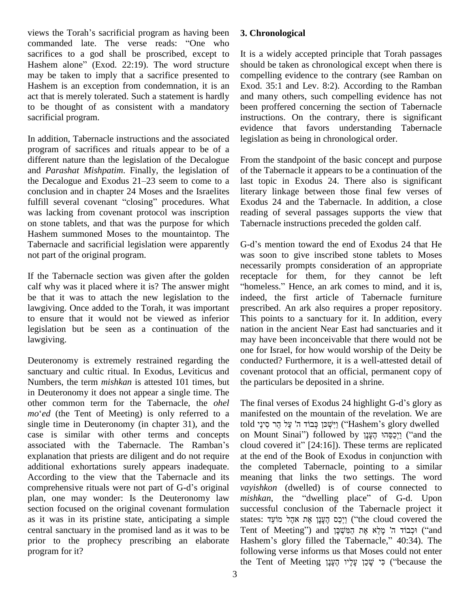views the Torah's sacrificial program as having been commanded late. The verse reads: "One who sacrifices to a god shall be proscribed, except to Hashem alone" (Exod. 22:19). The word structure may be taken to imply that a sacrifice presented to Hashem is an exception from condemnation, it is an act that is merely tolerated. Such a statement is hardly to be thought of as consistent with a mandatory sacrificial program.

In addition, Tabernacle instructions and the associated program of sacrifices and rituals appear to be of a different nature than the legislation of the Decalogue and *Parashat Mishpatim*. Finally, the legislation of the Decalogue and Exodus  $21-23$  seem to come to a conclusion and in chapter 24 Moses and the Israelites fulfill several covenant "closing" procedures. What was lacking from covenant protocol was inscription on stone tablets, and that was the purpose for which Hashem summoned Moses to the mountaintop. The Tabernacle and sacrificial legislation were apparently G-d's mention toward the end of Exodus 24 that He not part of the original program.

If the Tabernacle section was given after the golden receptacle for them, for they cannot be left calf why was it placed where it is? The answer might "homeless." Hence, an ark comes to mind, and it is, be that it was to attach the new legislation to the lawgiving. Once added to the Torah, it was important to ensure that it would not be viewed as inferior legislation but be seen as a continuation of the lawgiving.

Deuteronomy is extremely restrained regarding the sanctuary and cultic ritual. In Exodus, Leviticus and Numbers, the term *mishkan* is attested 101 times, but in Deuteronomy it does not appear a single time. The other common term for the Tabernacle, the *ohel* in Deuteronomy it does not appear a single time. The<br>other common term for the Tabernacle, the *ohel* The f<br>*mo*<sup>*'ed*</sup> (the Tent of Meeting) is only referred to a mani single time in Deuteronomy (in chapter 31), and the told case is similar with other terms and concepts on N<br>associated with the Tabernacle. The Ramban's cloud case is similar with other terms and concepts explanation that priests are diligent and do not require additional exhortations surely appears inadequate. the According to the view that the Tabernacle and its m comprehensive rituals were not part of G-d's original va According to the view that the Tabernacle and its plan, one may wonder: Is the Deuteronomy law section focused on the original covenant formulation as it was in its pristine state, anticipating a simple central sanctuary in the promised land as it was to be prior to the prophecy prescribing an elaborate Hashem's glory filled the Tabernacle," 40:34). The program for it?

# **3. Chronological**

It is a widely accepted principle that Torah passages should be taken as chronological except when there is compelling evidence to the contrary (see Ramban on Exod. 35:1 and Lev. 8:2). According to the Ramban and many others, such compelling evidence has not been proffered concerning the section of Tabernacle instructions. On the contrary, there is significant evidence that favors understanding Tabernacle legislation as being in chronological order.

From the standpoint of the basic concept and purpose of the Tabernacle it appears to be a continuation of the last topic in Exodus 24. There also is significant literary linkage between those final few verses of Exodus 24 and the Tabernacle. In addition, a close reading of several passages supports the view that Tabernacle instructions preceded the golden calf.<br>G-d's mention toward the end of Exodus 24 that He

was soon to give inscribed stone tablets to Moses necessarily prompts consideration of an appropriate<br>receptacle for them, for they cannot be left<br>"homeless." Hence, an ark comes to mind, and it is, indeed, the first article of Tabernacle furniture prescribed. An ark also requires a proper repository. This points to a sanctuary for it. In addition, every nation in the ancient Near East had sanctuaries and it may have been inconceivable that there would not be one for Israel, for how would worship of the Deity be conducted? Furthermore, it is a well-attested detail of covenant protocol that an official, permanent copy of the particulars be deposited in a shrine. the particulars be deposited in a shrine.<br>The final verses of Exodus 24 highlight G-d's glory as

manifested on the mountain of the revelation. We are The final verses of Exodus 24 highlight G-d's glory as<br>manifested on the mountain of the revelation. We are<br>told יִישְׁכּן כְּבוֹד ה' עַל הַר סִינַי ("Hashem's glory dwelled manifested on the mountain of the revelation. We are<br>told יַיִּשְׁכּן כְּבוֹד ה' עַל הַר סִינַי (''Hashem's glory dwelled<br>on Mount Sinai'') followed by וַיְכַפָּהוּ הֶעָנָן (''and the cloud covered it"  $[24:16]$ ). These terms are replicated at the end of the Book of Exodus in conjunction with the completed Tabernacle, pointing to a similar meaning that links the two settings. The word *vayishkon* (dwelled) is of course connected to meaning that links the two settings. The word<br>*vayishkon* (dwelled) is of course connected to<br>*mishkan*, the "dwelling place" of G-d. Upon successful conclusion of the Tabernacle project it  $mishkan$ , the "dwelling place" of G-d. Upon<br>successful conclusion of the Tabernacle project it<br>states: יַיְכָּס הֶעָּנָן אֶת אהֶל מוֹעֵד ("the cloud covered the successful conclusion of the Tabernacle project it<br>states: יִכְכֹּס הָעָנָן אֶת אהֶל מוֹעֵד<br>קיבוֹד ה' מְלֵא אֶת הַמִּשְׁכָּן and יִרְבוֹד ה' מְלֵא אֶת הַמִּשְׁכָּן (''and states: וְיָכָם הֶעָנֶן אֶת אהֶל מוֹעֵד!) [יִכָּם הָעָנֶן אֶת הַמִּשְׁבֶּן<br>Tent of Meeting") and יִּכְבוֹד ה' מְלֵא אֶת הַמִּשְׁבָּן (and Hashem's glory filled the Tabernacle," 40:34). The following verse informs us that Moses could not enter the Tent of Meeting פִּי שֵׁכֵּן עֲלֵיוּ הָעֲנַן ("because the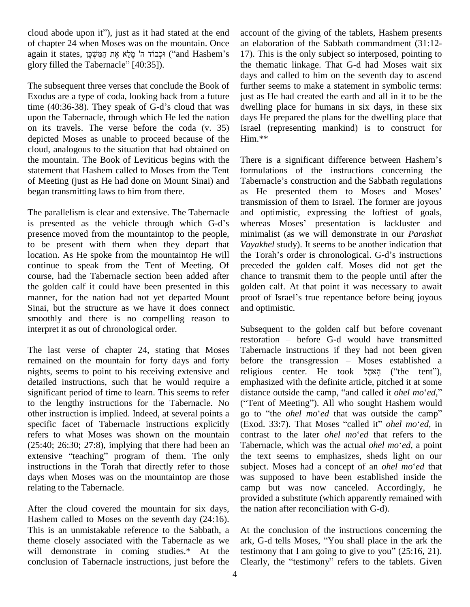cloud abode upon it"), just as it had stated at the end accour of chapter 24 when Moses was on the mountain. Once cloud abode upon it"), just as it had stated at the end<br>of chapter 24 when Moses was on the mountain. Once an e<br>again it states, וְכָבּוֹד ה' מָלֵא אֶת הַמִּשְׁכָּן (''and Hashem's 17). of chapter 24 when Moses was on the mo<br>again it states, פְּמִשְׁכָּן , מְאֵי אֶת הַמִּשְׁכָּן ("arglory filled the Tabernacle" [40:35]).

The subsequent three verses that conclude the Book of Exodus are a type of coda, looking back from a future time  $(40:36-38)$ . They speak of G-d's cloud that was upon the Tabernacle, through which He led the nation on its travels. The verse before the coda (v. 35) depicted Moses as unable to proceed because of the cloud, analogous to the situation that had obtained on the mountain. The Book of Leviticus begins with the statement that Hashem called to Moses from the Tent of Meeting (just as He had done on Mount Sinai) and began transmitting laws to him from there.

The parallelism is clear and extensive. The Tabernacle is presented as the vehicle through which G-d's presence moved from the mountaintop to the people, to be present with them when they depart that location. As He spoke from the mountaintop He will the Torah's order is chronological. G-d's instructions continue to speak from the Tent of Meeting. Of course, had the Tabernacle section been added after the golden calf it could have been presented in this manner, for the nation had not yet departed Mount proof of Israel's true repentance before being joyous Sinai, but the structure as we have it does connect smoothly and there is no compelling reason to interpret it as out of chronological order.

The last verse of chapter 24, stating that Moses remained on the mountain for forty days and forty nights, seems to point to his receiving extensive and religious center. He took האהל ("the tent"), detailed instructions, such that he would require a significant period of time to learn. This seems to refer to the lengthy instructions for the Tabernacle. No ("Tent of Meeting"). All who sought Hashem would other instruction is implied. Indeed, at several points a specific facet of Tabernacle instructions explicitly refers to what Moses was shown on the mountain contrast to the later *ohel mo'ed* that refers to the (25:40; 26:30; 27:8), implying that there had been an extensive "teaching" program of them. The only instructions in the Torah that directly refer to those subject. Moses had a concept of an *ohel mo'ed* that days when Moses was on the mountaintop are those relating to the Tabernacle.

After the cloud covered the mountain for six days, Hashem called to Moses on the seventh day (24:16). This is an unmistakable reference to the Sabbath, a theme closely associated with the Tabernacle as we will demonstrate in coming studies.\* At the conclusion of Tabernacle instructions, just before the Clearly, the "testimony" refers to the tablets. Given

account of the giving of the tablets, Hashem presents an elaboration of the Sabbath commandment  $(31:12-$ 17). This is the only subject so interposed, pointing to the thematic linkage. That G-d had Moses wait six days and called to him on the seventh day to ascend further seems to make a statement in symbolic terms: just as He had created the earth and all in it to be the dwelling place for humans in six days, in these six days He prepared the plans for the dwelling place that Israel (representing mankind) is to construct for Him.\*\*

There is a significant difference between Hashem's formulations of the instructions concerning the There is a significant difference between Hashem's<br>formulations of the instructions concerning the<br>Tabernacle's construction and the Sabbath regulations formulations of the instructions concerning the<br>Tabernacle's construction and the Sabbath regulations<br>as He presented them to Moses and Moses' transmission of them to Israel.The former are joyous and optimistic, expressing the loftiest of goals, whereas Moses' presentation is lackluster and minimalist (as we will demonstrate in our *Parashat Vayakhel* study). It seems to be another indication that the Torah's order is chronological. G-d's instructions *Vayakhel* study). It seems to be another indication that preceded the golden calf. Moses did not get the chance to transmit them to the people until after the golden calf. At that point it was necessary to await chance to transmit them to the people until after the golden calf. At that point it was necessary to await proof of Israel's true repentance before being joyous and optimistic.

Subsequent to the golden calf but before covenant Subsequent to the golden calf but before covenant<br>restoration – before G-d would have transmitted Tabernacle instructions if they had not been given restoration – before G-d would have transmitted<br>Tabernacle instructions if they had not been given<br>before the transgression – Moses established a rabernacle instructions if they had not been given<br>before the transgression – Moses established a<br>religious center. He took מָאהֶל ("the tent"), emphasized with the definite article, pitched it at some religious center. He took הָאהָל ("the tent"),<br>emphasized with the definite article, pitched it at some<br>distance outside the camp, "and called it *ohel mo"ed*," emphasized with the definite article, pitched it at some distance outside the camp, "and called it *ohel mo'ed*," ("Tent of Meeting"). All who sought Hashem would distance outside the camp, "and called it *ohel mo'ed*,"<br>("Tent of Meeting"). All who sought Hashem would<br>go to "the *ohel mo'ed* that was outside the camp" ("Tent of Meeting"). All who sought Hashem would<br>go to "the *ohel mo'ed* that was outside the camp"<br>(Exod. 33:7). That Moses "called it" *ohel mo'ed*, in go to "the *ohel mo*'ed that was outside the camp"<br>(Exod. 33:7). That Moses "called it" *ohel mo*'ed, in<br>contrast to the later *ohel mo*'ed that refers to the (Exod. 33:7). That Moses "called it" *ohel mo'ed*, in the text seems to emphasizes, sheds light on our Tabernacle, which was the actual *ohel mo*<sup>e</sup> *ed*, a point was supposed to have been established inside the camp but was now canceled. Accordingly, he provided a substitute (which apparently remained with the nation after reconciliation with G-d).

At the conclusion of the instructions concerning the ark, G-d tells Moses, "You shall place in the ark the At the conclusion of the instructions concerning the ark, G-d tells Moses, "You shall place in the ark the testimony that I am going to give to you" (25:16, 21). ark, G-d tells Moses, "You shall place in the ark the testimony that I am going to give to you" (25:16, 21).<br>Clearly, the "testimony" refers to the tablets. Given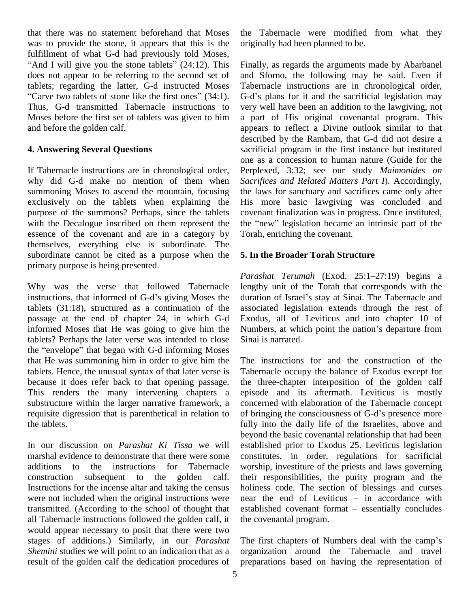that there was no statement beforehand that Moses was to provide the stone, it appears that this is the was to provide the stone, it appears that this is the orig fulfillment of what G-d had previously told Moses, <br>"And I will give you the stone tablets" (24:12). This Fina does not appear to be referring to the second set of and tablets; regarding the latter, G-d instructed Moses Tablets of stone like the first ones" (34:1). G-d Thus, G-d transmitted Tabernacle instructions to Moses before the first set of tablets was given to him and before the golden calf.

## **4. Answering Several Questions**

If Tabernacle instructions are in chronological order, why did G-d make no mention of them when summoning Moses to ascend the mountain, focusing exclusively on the tablets when explaining the purpose of the summons? Perhaps, since the tablets with the Decalogue inscribed on them represent the the "new" legislation became an intrinsic part of the essence of the covenant and are in a category by themselves, everything else is subordinate. The subordinate cannot be cited as a purpose when the primary purpose is being presented.

Why was the verse that followed Tabernacle instructions, that informed of G-d's giving Moses the tablets (31:18), structured as a continuation of the passage at the end of chapter 24, in which G-d informed Moses that He was going to give him the Number tablets? Perhaps the later verse was intended to close Sinai is the "envelope" that began with G-d informing Moses tablets? Perhaps the later verse was intended to close the "envelope" that began with G-d informing Moses that He was summoning him in order to give him the tablets. Hence, the unusual syntax of that later verse is because it does refer back to that opening passage. This renders the many intervening chapters a substructure within the larger narrative framework, a requisite digression that is parenthetical in relation to of bringing the consciousness of G-d's presence more the tablets.

In our discussion on *Parashat Ki Tissa* we will marshal evidence to demonstrate that there were some additions to the instructions for Tabernacle construction subsequent to the golden calf. Instructions for the incense altar and taking the census holiness code. The section of blessings and curses were not included when the original instructions were near the end of Leviticus – in accordance with were not included when the original instructions were transmitted. (According to the school of thought that all Tabernacle instructions followed the golden calf, it would appear necessary to posit that there were two stages of additions.) Similarly, in our *Parashat Shemini* studies we will point to an indication that as a result of the golden calf the dedication procedures of

the Tabernacle were modified from what they originally had been planned to be.

Finally, as regards the arguments made by Abarbanel and Sforno, the following may be said. Even if Tabernacle instructions are in chronological order, G-d's plans for it and the sacrificial legislation may very well have been an addition to the lawgiving, not a part of His original covenantal program. This appears to reflect a Divine outlook similar to that described by the Rambam, that G-d did not desire a sacrificial program in the first instance but instituted one as a concession to human nature (Guide for the Perplexed, 3:32; see our study *Maimonides on Sacrifices and Related Matters Part I*). Accordingly, the laws for sanctuary and sacrifices came only after His more basic lawgiving was concluded and covenant finalization was in progress. Once instituted, His more basic lawgiving was concluded and<br>covenant finalization was in progress. Once instituted,<br>the "new" legislation became an intrinsic part of the Torah, enriching the covenant.

## **5. In the Broader Torah Structure**

*Parashat Terumah* (Exod. 25:1–27:19) begins a lengthy unit of the Torah that corresponds with the duration of Israel's stay at Sinai. The Tabernacle and associated legislation extends through the rest of Exodus, all of Leviticus and into chapter 10 of associated legislation extends through the rest of Exodus, all of Leviticus and into chapter 10 of Numbers, at which point the nation's departure from Sinai is narrated.

The instructions for and the construction of the Tabernacle occupy the balance of Exodus except for the three-chapter interposition of the golden calf episode and its aftermath. Leviticus is mostly concerned with elaboration of the Tabernacle concept of bringing the consciousness of G-d's presence more concerned with elaboration of the Tabernacle concept fully into the daily life of the Israelites, above and beyond the basic covenantal relationship that had been established prior to Exodus 25. Leviticus legislation constitutes, in order, regulations for sacrificial worship, investiture of the priests and laws governing their responsibilities, the purity program and the holiness code. The section of blessings and curses near the end of Leviticus – in accordance with holiness code. The section of blessings and curses<br>near the end of Leviticus – in accordance with<br>established covenant format – essentially concludes the covenantal program.

The first chapters of Numbers deal with the camp's organization around the Tabernacle and travel preparations based on having the representation of